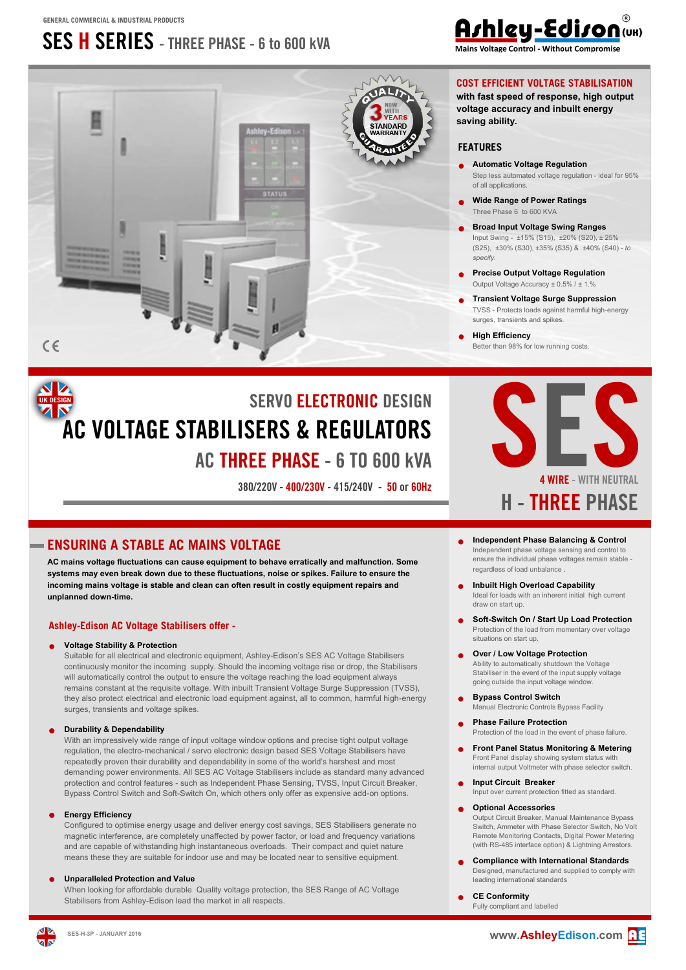# **SES H SERIES - THREE PHASE - 6 to 600 kVA**



# Ashley-Edison(UK)

Mains Voltage Control - Without Compromis

### **COST EFFICIENT VOLTAGE STABILISATION**

**with fast speed of response, high output voltage accuracy and inbuilt energy saving ability.**

### **FEATURES**

- **Automatic Voltage Regulation** Step less automated voltage regulation - ideal for 95% of all applications.
- **Wide Range of Power Ratings** Three Phase 6 to 600 KVA
- $\bullet$ **Broad Input Voltage Swing Ranges** Input Swing - ±15% (S15), ±20% (S20), ± 25% (S25), ±30% (S30), ±35% (S35) & ±40% (S40) - *to specify.*
- **Precise Output Voltage Regulation**  Output Voltage Accuracy  $\pm$  0.5%
- **Transient Voltage Surge Suppression**  TVSS - Protects loads against harmful high-energy surges, transients and spikes.
- **High Efficiency**  Better than 98% for low running costs.

# **SERVO ELECTRONIC DESIGN AC VOLTAGE STABILISERS & REGULATORS AC THREE PHASE - 6 TO 600 kVA**



**ENSURING A STABLE AC MAINS VOLTAGE**

**AC mains voltage fluctuations can cause equipment to behave erratically and malfunction. Some systems may even break down due to these fluctuations, noise or spikes. Failure to ensure the incoming mains voltage is stable and clean can often result in costly equipment repairs and unplanned down-time.**

### **Ashley-Edison AC Voltage Stabilisers offer -**

### **Voltage Stability & Protection**

Suitable for all electrical and electronic equipment, Ashley-Edison's SES AC Voltage Stabilisers continuously monitor the incoming supply. Should the incoming voltage rise or drop, the Stabilisers will automatically control the output to ensure the voltage reaching the load equipment always remains constant at the requisite voltage. With inbuilt Transient Voltage Surge Suppression (TVSS), they also protect electrical and electronic load equipment against, all to common, harmful high-energy surges, transients and voltage spikes.

### **Durability & Dependability**

With an impressively wide range of input voltage window options and precise tight output voltage regulation, the electro-mechanical / servo electronic design based SES Voltage Stabilisers have repeatedly proven their durability and dependability in some of the world's harshest and most demanding power environments. All SES AC Voltage Stabilisers include as standard many advanced protection and control features - such as Independent Phase Sensing, TVSS, Input Circuit Breaker, Bypass Control Switch and Soft-Switch On, which others only offer as expensive add-on options.

### **Energy Efficiency**

Configured to optimise energy usage and deliver energy cost savings, SES Stabilisers generate no magnetic interference, are completely unaffected by power factor, or load and frequency variations and are capable of withstanding high instantaneous overloads. Their compact and quiet nature means these they are suitable for indoor use and may be located near to sensitive equipment.

#### **Unparalleled Protection and Value**

When looking for affordable durable Quality voltage protection, the SES Range of AC Voltage Stabilisers from Ashley-Edison lead the market in all respects.

#### **Independent Phase Balancing & Control**  Independent phase voltage sensing and control to ensure the individual phase voltages remain stable regardless of load unbalance

- **Inbuilt High Overload Capability** Ideal for loads with an inherent initial high current draw on start up.
- **Soft-Switch On / Start Up Load Protection** Protection of the load from momentary over voltage situations on start up.
- **Over / Low Voltage Protection** Ability to automatically shutdown the Voltage Stabiliser in the event of the input supply voltage going outside the input voltage window.
- **Bypass Control Switch** Manual Electronic Controls Bypass Facility
- **Phase Failure Protection** Protection of the load in the event of phase failure.
- **Front Panel Status Monitoring & Metering** Front Panel display showing system status with internal output Voltmeter with phase selector switch.
- **Input Circuit Breaker**  Input over current protection fitted as standard.

### **Optional Accessories**

Output Circuit Breaker, Manual Maintenance Bypass Switch, Ammeter with Phase Selector Switch, No Volt Remote Monitoring Contacts, Digital Power Metering (with RS-485 interface option) & Lightning Arrestors.

 $\bullet$ **Compliance with International Standards**  Designed, manufactured and supplied to comply with leading international standards

### **CE Conformity**

Fully compliant and labelled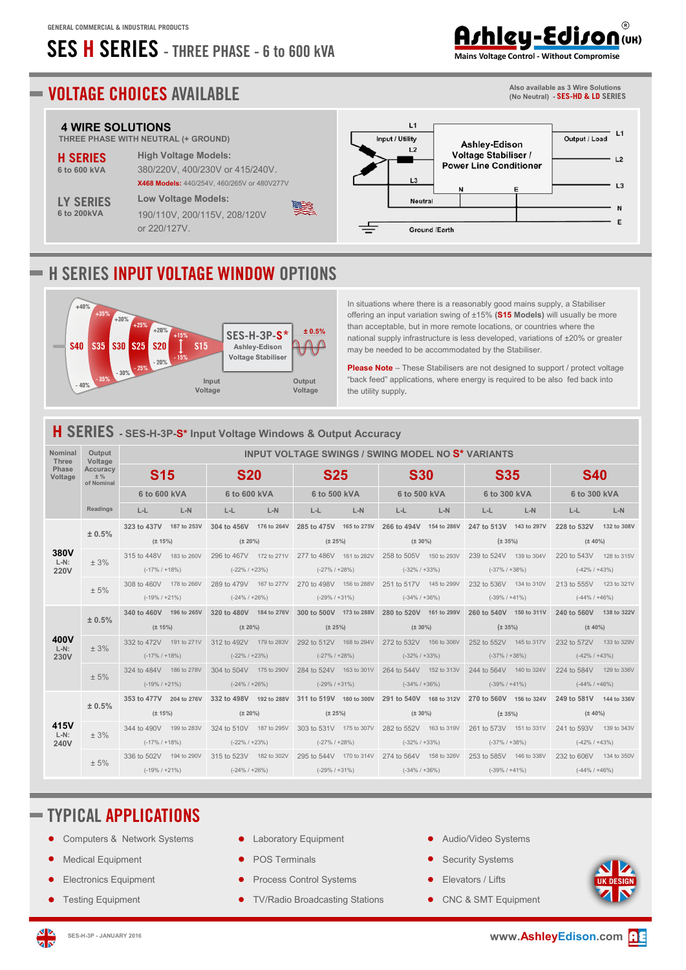# **SES H SERIES - THREE PHASE - 6 to 600 kVA**

# Arhley-Ediron (UK)

**Also available as 3 Wire Solutions (No Neutral) - SES-HD & LD SERIES**

Mains Voltage Control - Without Compromise

## **VOLTAGE CHOICES AVAILABLE**

## **4 WIRE SOLUTIONS**<br>THREE PHASE WITH NEUTRA

|                    | THREE PHASE WITH NEUTRAL (+ GROUND)         |
|--------------------|---------------------------------------------|
| <b>H SERIES</b>    | <b>High Voltage Models:</b>                 |
| 6 to 600 kVA       | 380/220V, 400/230V or 415/240V,             |
|                    | X468 Models: 440/254V, 460/265V or 480V277V |
| <b>LY SERIES</b>   | <b>Low Voltage Models:</b>                  |
| <b>6 to 200kVA</b> | 190/110V, 200/115V, 208/120V                |
|                    | or 220/127V.                                |

#### $\overline{11}$  $L1$ Input / Utility Output / Load Ashley-Edison  $L<sub>2</sub>$ Voltage Stabiliser /  $L<sub>2</sub>$ **Power Line Conditioner**  $\overline{1}$  $L3$ Neutral N E Ground /Earth

## **H SERIES INPUT VOLTAGE WINDOW OPTIONS**



In situations where there is a reasonably good mains supply, a Stabiliser offering an input variation swing of ±15% **(S15 Models)** will usually be more than acceptable, but in more remote locations, or countries where the national supply infrastructure is less developed, variations of ±20% or greater may be needed to be accommodated by the Stabiliser.

**Please Note** – These Stabilisers are not designed to support / protect voltage "back feed" applications, where energy is required to be also fed back into the utility supply.

### **H SERIES - SES-H-3P-S\* Input Voltage Windows & Output Accuracy**

| <b>Nominal</b><br><b>Three</b> | Output<br>Voltage               |                         | <b>INPUT VOLTAGE SWINGS / SWING MODEL NO S* VARIANTS</b> |                         |              |                         |              |                                                                                                 |              |                                                 |              |                                                                                                 |       |
|--------------------------------|---------------------------------|-------------------------|----------------------------------------------------------|-------------------------|--------------|-------------------------|--------------|-------------------------------------------------------------------------------------------------|--------------|-------------------------------------------------|--------------|-------------------------------------------------------------------------------------------------|-------|
| Phase<br>Voltage               | Accuracy<br>$±$ %<br>of Nominal | <b>S15</b>              |                                                          | <b>S20</b>              |              | <b>S25</b>              |              | <b>S30</b>                                                                                      |              | <b>S35</b>                                      |              | <b>S40</b>                                                                                      |       |
|                                |                                 | 6 to 600 kVA            |                                                          | 6 to 600 kVA            |              | 6 to 500 kVA            |              | 6 to 500 kVA                                                                                    |              | 6 to 300 kVA                                    |              | 6 to 300 kVA                                                                                    |       |
|                                | Readings                        | L-L                     | $L-N$                                                    | L-L                     | $L-N$        | L-L                     | $L-N$        | L-L-                                                                                            | $L-N$        | L-L                                             | $L-N$        | L-L                                                                                             | $L-N$ |
|                                | ± 0.5%                          | 323 to 437V 187 to 253V |                                                          | 304 to 456V 176 to 264V |              |                         |              |                                                                                                 |              |                                                 |              | 285 to 475V 165 to 275V 266 to 494V 154 to 286V 247 to 513V 143 to 297V 228 to 532V 132 to 308V |       |
|                                | $(\pm 15\%)$                    |                         | $(\pm 20\%)$                                             |                         | $(\pm 25\%)$ |                         | $(\pm 30\%)$ |                                                                                                 | $(\pm 35\%)$ |                                                 | $(\pm 40\%)$ |                                                                                                 |       |
| <b>380V</b><br>$L-N$ :         | $+3%$                           | 315 to 448V 183 to 260V |                                                          |                         |              |                         |              | 296 to 467V 172 to 271V 277 to 486V 161 to 282V 258 to 505V 150 to 293V 239 to 524V 139 to 304V |              |                                                 |              | 220 to 543V 128 to 315V                                                                         |       |
| <b>220V</b>                    |                                 | $(-17\% / +18\%)$       |                                                          | $(-22\% / +23\%)$       |              | $(-27\% + 28\%)$        |              | $(-32\% / + 33\%)$                                                                              |              | $(-37\% / + 38\%)$                              |              | $(-42\% + 43\%)$                                                                                |       |
|                                | ± 5%                            | 308 to 460V 178 to 266V |                                                          | 289 to 479V 167 to 277V |              | 270 to 498V 156 to 288V |              |                                                                                                 |              | 251 to 517V 145 to 299V 232 to 536V 134 to 310V |              | 213 to 555V 123 to 321V                                                                         |       |
|                                |                                 | $(-19\% / +21\%)$       |                                                          | $(-24\% / +26\%)$       |              | (-29% / +31%)           |              | $(-34\% / +36\%)$                                                                               |              | $(-39\% / +41\%)$                               |              | $(-44\% / +46\%)$                                                                               |       |
|                                | ± 0.5%                          | 340 to 460V 196 to 265V |                                                          | 320 to 480V 184 to 276V |              |                         |              |                                                                                                 |              |                                                 |              | 300 to 500V 173 to 288V 280 to 520V 161 to 299V 260 to 540V 150 to 311V 240 to 560V 138 to 322V |       |
|                                |                                 | $(\pm 15\%)$            |                                                          | $(\pm 20\%)$            |              | $(\pm 25\%)$            |              | $(\pm 30\%)$                                                                                    |              | $(\pm 35\%)$                                    |              | $(\pm 40\%)$                                                                                    |       |
| 400V<br>$L-N$ :                | ± 3%                            | 332 to 472V 191 to 271V |                                                          | 312 to 492V 179 to 283V |              | 292 to 512V 168 to 294V |              | 272 to 532V 156 to 306V                                                                         |              | 252 to 552V 145 to 317V                         |              | 232 to 572V 133 to 329V                                                                         |       |
| 230V                           |                                 | $(-17\% / +18\%)$       |                                                          | $(-22\% + 23\%)$        |              | $(-27\% + 28\%)$        |              | $(-32\% / + 33\%)$                                                                              |              | $(-37\% / + 38\%)$                              |              | $(-42\% + 43\%)$                                                                                |       |
|                                | ± 5%                            | 324 to 484V 186 to 278V |                                                          | 304 to 504V 175 to 290V |              | 284 to 524V 163 to 301V |              | 264 to 544V 152 to 313V                                                                         |              | 244 to 564V 140 to 324V                         |              | 224 to 584V 129 to 336V                                                                         |       |
|                                |                                 | (-19% / +21%)           |                                                          | $(-24\% + 26\%)$        |              | $(-29\% + 31\%)$        |              | $(-34\% / +36\%)$                                                                               |              | $(-39\% / +41\%)$                               |              | $(-44\% + 46\%)$                                                                                |       |
|                                | ± 0.5%                          | 353 to 477V 204 to 276V |                                                          |                         |              |                         |              | 332 to 498V 192 to 288V 311 to 519V 180 to 300V 291 to 540V 168 to 312V 270 to 560V 156 to 324V |              |                                                 |              | 249 to 581V 144 to 336V                                                                         |       |
|                                |                                 | $(\pm 15\%)$            |                                                          | $(\pm 20\%)$            |              | $(\pm 25\%)$            |              | $(\pm 30\%)$                                                                                    |              | $(\pm 35\%)$                                    |              | $(\pm 40\%)$                                                                                    |       |
| 415V<br>$L-N$ :                | ± 3%                            | 344 to 490V 199 to 283V |                                                          | 324 to 510V 187 to 295V |              |                         |              | 303 to 531V 175 to 307V 282 to 552V 163 to 319V 261 to 573V 151 to 331V                         |              |                                                 |              | 241 to 593V 139 to 343V                                                                         |       |
| 240V                           |                                 | $(-17\% / +18\%)$       |                                                          | $(-22\% / +23\%)$       |              | $(-27\% + 28\%)$        |              | $(-32\% / +33\%)$                                                                               |              | $(-37\% / + 38\%)$                              |              | $(-42\% + 43\%)$                                                                                |       |
|                                | ± 5%                            | 336 to 502V 194 to 290V |                                                          | 315 to 523V 182 to 302V |              |                         |              | 295 to 544V 170 to 314V 274 to 564V 158 to 326V 253 to 585V 146 to 338V                         |              |                                                 |              | 232 to 606V 134 to 350V                                                                         |       |
|                                |                                 | (-19% / +21%)           |                                                          | $(-24\% / +26\%)$       |              | $(-29\% / +31\%)$       |              | $(-34\% / +36\%)$                                                                               |              | $(-39\% / +41\%)$                               |              | $(-44\% / +46\%)$                                                                               |       |

<u>es</u>

## **TYPICAL APPLICATIONS**

- Computers & Network Systems
- Medical Equipment
- Electronics Equipment
- Testing Equipment
- Laboratory Equipment
- POS Terminals
- Process Control Systems
- TV/Radio Broadcasting Stations
- Audio/Video Systems
- Security Systems
- Elevators / Lifts
	- **•** CNC & SMT Equipment

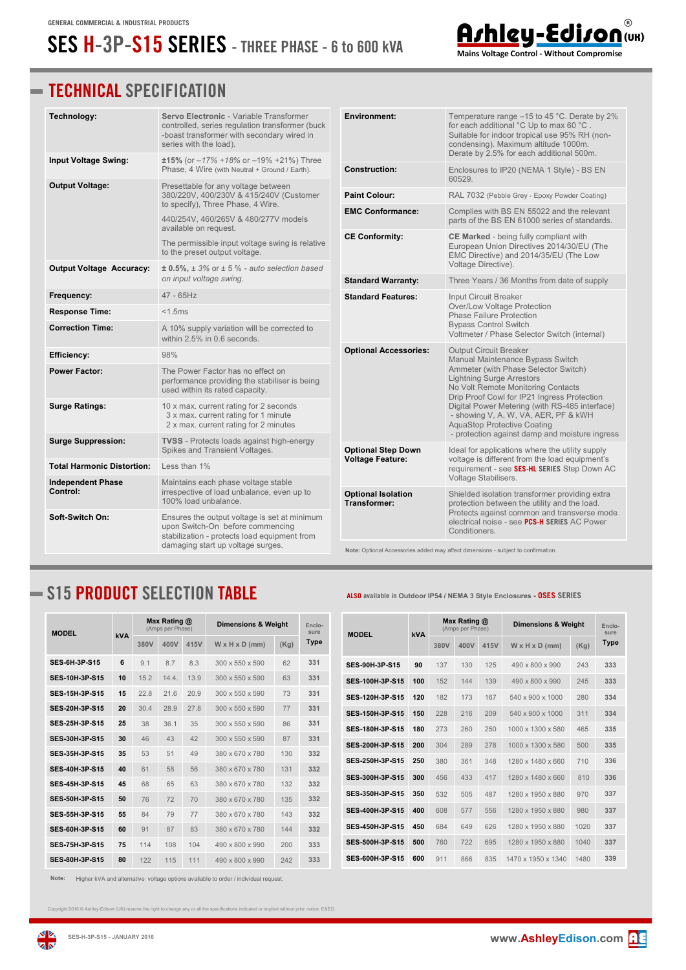## **SES H-3P-S15 SERIES - THREE PHASE - 6 to 600 kVA**



| Technology:                                                                                              | Servo Electronic - Variable Transformer<br>controlled, series regulation transformer (buck<br>-boast transformer with secondary wired in<br>series with the load). | <b>Environment:</b>                       | Temperature range -15 to 45 °C. Derate by 2%<br>for each additional °C Up to max 60 °C.<br>Suitable for indoor tropical use 95% RH (non-<br>condensing). Maximum altitude 1000m.<br>Derate by 2.5% for each additional 500m.       |  |  |
|----------------------------------------------------------------------------------------------------------|--------------------------------------------------------------------------------------------------------------------------------------------------------------------|-------------------------------------------|------------------------------------------------------------------------------------------------------------------------------------------------------------------------------------------------------------------------------------|--|--|
| Input Voltage Swing:                                                                                     | $±15\%$ (or $-17\% +18\%$ or $-19\% +21\%$ ) Three<br>Phase, 4 Wire (with Neutral + Ground / Earth).                                                               | <b>Construction:</b>                      | Enclosures to IP20 (NEMA 1 Style) - BS EN<br>60529.                                                                                                                                                                                |  |  |
| <b>Output Voltage:</b><br>Presettable for any voltage between<br>380/220V, 400/230V & 415/240V (Customer |                                                                                                                                                                    | <b>Paint Colour:</b>                      | RAL 7032 (Pebble Grey - Epoxy Powder Coating)                                                                                                                                                                                      |  |  |
|                                                                                                          | to specify), Three Phase, 4 Wire.                                                                                                                                  | <b>EMC Conformance:</b>                   | Complies with BS EN 55022 and the relevant                                                                                                                                                                                         |  |  |
|                                                                                                          | 440/254V, 460/265V & 480/277V models<br>available on request.                                                                                                      |                                           | parts of the BS EN 61000 series of standards.                                                                                                                                                                                      |  |  |
|                                                                                                          | <b>CE Conformity:</b><br>The permissible input voltage swing is relative<br>to the preset output voltage.                                                          |                                           | CE Marked - being fully compliant with<br>European Union Directives 2014/30/EU (The<br>EMC Directive) and 2014/35/EU (The Low                                                                                                      |  |  |
| <b>Output Voltage Accuracy:</b>                                                                          | $\pm$ 0.5%, $\pm$ 3% or $\pm$ 5 % - auto selection based                                                                                                           |                                           | Voltage Directive).                                                                                                                                                                                                                |  |  |
|                                                                                                          | on input voltage swing.                                                                                                                                            | <b>Standard Warranty:</b>                 | Three Years / 36 Months from date of supply                                                                                                                                                                                        |  |  |
| Frequency:                                                                                               | 47 - 65Hz                                                                                                                                                          | <b>Standard Features:</b>                 | Input Circuit Breaker<br>Over/Low Voltage Protection                                                                                                                                                                               |  |  |
| <b>Response Time:</b>                                                                                    | $<$ 1.5 $ms$                                                                                                                                                       |                                           | Phase Failure Protection                                                                                                                                                                                                           |  |  |
| <b>Correction Time:</b>                                                                                  | A 10% supply variation will be corrected to<br>within 2.5% in 0.6 seconds.                                                                                         |                                           | <b>Bypass Control Switch</b><br>Voltmeter / Phase Selector Switch (internal)                                                                                                                                                       |  |  |
| <b>Efficiency:</b>                                                                                       | 98%                                                                                                                                                                | <b>Optional Accessories:</b>              | <b>Output Circuit Breaker</b><br>Manual Maintenance Bypass Switch<br>Ammeter (with Phase Selector Switch)<br><b>Lightning Surge Arrestors</b><br>No Volt Remote Monitoring Contacts<br>Drip Proof Cowl for IP21 Ingress Protection |  |  |
| <b>Power Factor:</b>                                                                                     | The Power Factor has no effect on<br>performance providing the stabiliser is being<br>used within its rated capacity.                                              |                                           |                                                                                                                                                                                                                                    |  |  |
| <b>Surge Ratings:</b>                                                                                    | 10 x max. current rating for 2 seconds<br>3 x max. current rating for 1 minute<br>2 x max. current rating for 2 minutes                                            |                                           | Digital Power Metering (with RS-485 interface)<br>- showing V, A, W, VA, AER, PF & kWH<br><b>AquaStop Protective Coating</b>                                                                                                       |  |  |
| <b>Surge Suppression:</b>                                                                                | <b>TVSS</b> - Protects loads against high-energy<br>Spikes and Transient Voltages.                                                                                 | <b>Optional Step Down</b>                 | - protection against damp and moisture ingress<br>Ideal for applications where the utility supply                                                                                                                                  |  |  |
| <b>Total Harmonic Distortion:</b>                                                                        | Less than $1\%$                                                                                                                                                    | <b>Voltage Feature:</b>                   | voltage is different from the load equipment's<br>requirement - see SES-HL SERIES Step Down AC                                                                                                                                     |  |  |
| <b>Independent Phase</b><br>Control:                                                                     | Maintains each phase voltage stable<br>irrespective of load unbalance, even up to<br>100% load unbalance.                                                          | <b>Optional Isolation</b><br>Transformer: | Voltage Stabilisers.<br>Shielded isolation transformer providing extra<br>protection between the utility and the load.                                                                                                             |  |  |
| Soft-Switch On:                                                                                          | Ensures the output voltage is set at minimum<br>upon Switch-On before commencing<br>stabilization - protects load equipment from                                   |                                           | Protects against common and transverse mode<br>electrical noise - see PCS-H SERIES AC Power<br>Conditioners.                                                                                                                       |  |  |
|                                                                                                          | damaging start up voltage surges.                                                                                                                                  |                                           | Note: Optional Accessories added may affect dimensions - subject to confirmation.                                                                                                                                                  |  |  |

## **S15 PRODUCT SELECTION TABLE ALSO available in Outdoor IP54 / NEMA 3 Style Enclosures - OSES SERIES**

| <b>MODEL</b>          |     | Max Rating @<br>(Amps per Phase) |      |      | <b>Dimensions &amp; Weight</b> | Enclo-<br>sure |      |
|-----------------------|-----|----------------------------------|------|------|--------------------------------|----------------|------|
|                       | kVA | 380V                             | 400V | 415V | $W \times H \times D$ (mm)     | (Kq)           | Type |
| <b>SES-6H-3P-S15</b>  | 6   | 9.1                              | 8.7  | 8.3  | 300 x 550 x 590                | 62             | 331  |
| <b>SFS-10H-3P-S15</b> | 10  | 152                              | 144  | 139  | 300 x 550 x 590                | 63             | 331  |
| <b>SES-15H-3P-S15</b> | 15  | 22.8                             | 21.6 | 20.9 | 300 x 550 x 590                | 73             | 331  |
| SES-20H-3P-S15        | 20  | 30.4                             | 28.9 | 27.8 | 300 x 550 x 590                | 77             | 331  |
| <b>SFS-25H-3P-S15</b> | 25  | 38                               | 36.1 | 35   | 300 x 550 x 590                | 86             | 331  |
| <b>SES 30H 3P S15</b> | 30  | 46                               | 43   | 42   | $300 \times 550 \times 590$    | 87             | 331  |
| <b>SES 35H 3P S15</b> | 35  | 53                               | 51   | 49   | 380 x 670 x 780                | 130            | 332  |
| SES-40H-3P-S15        | 40  | 61                               | 58   | 56   | 380 x 670 x 780                | 131            | 332  |
| <b>SFS-45H-3P-S15</b> | 45  | 68                               | 65   | 63   | 380 x 670 x 780                | 132            | 332  |
| <b>SES-50H 3P S15</b> | 50  | 76                               | 72   | 70   | 380 x 670 x 780                | 135            | 332  |
| <b>SFS-55H-3P-S15</b> | 55  | 84                               | 79   | 77   | 380 x 670 x 780                | 143            | 332  |
| <b>SES-60H-3P-S15</b> | 60  | 91                               | 87   | 83   | 380 x 670 x 780                | 144            | 332  |
| <b>SFS-75H-3P-S15</b> | 75  | 114                              | 108  | 104  | 490 x 800 x 990                | 200            | 333  |
| <b>SES-80H 3P S15</b> | 80  | 122                              | 115  | 111  | 490 x 800 x 990                | 242            | 333  |

**Note:** Higher kVA and alternative voltage options available to order / individual request.

ight 2016 © Ashley-Edison (UK) reserve the right to change any or all the specifications indicated or implied without prior notice. E&EC



Ashley-Edison Mains Voltage Control - Without Compromise

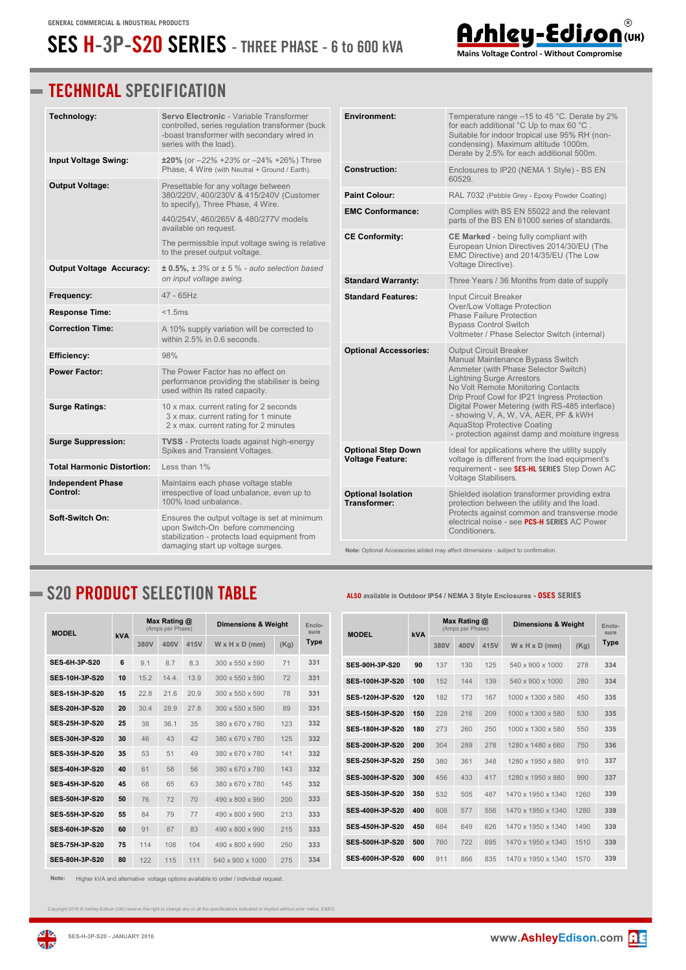## **SES H-3P-S20 SERIES - THREE PHASE - 6 to 600 kVA**



Mains Voltage Control - Without Compromise

## **TECHNICAL SPECIFICATION**

| Technology:                                                                                                                                         | Servo Electronic - Variable Transformer<br>controlled, series regulation transformer (buck<br>-boast transformer with secondary wired in<br>series with the load). | <b>Environment:</b>                       | Temperature range -15 to 45 °C. Derate by 2%<br>for each additional °C Up to max 60 °C.<br>Suitable for indoor tropical use 95% RH (non-<br>condensing). Maximum altitude 1000m.<br>Derate by 2.5% for each additional 500m. |  |  |
|-----------------------------------------------------------------------------------------------------------------------------------------------------|--------------------------------------------------------------------------------------------------------------------------------------------------------------------|-------------------------------------------|------------------------------------------------------------------------------------------------------------------------------------------------------------------------------------------------------------------------------|--|--|
| Input Voltage Swing:                                                                                                                                | $±20\%$ (or $-22\% +23\%$ or $-24\% +26\%$ ) Three<br>Phase, 4 Wire (with Neutral + Ground / Earth).                                                               | <b>Construction:</b>                      | Enclosures to IP20 (NEMA 1 Style) - BS EN<br>60529.                                                                                                                                                                          |  |  |
| <b>Output Voltage:</b>                                                                                                                              | Presettable for any voltage between<br>380/220V, 400/230V & 415/240V (Customer                                                                                     | <b>Paint Colour:</b>                      | RAL 7032 (Pebble Grey - Epoxy Powder Coating)                                                                                                                                                                                |  |  |
|                                                                                                                                                     | to specify), Three Phase, 4 Wire.                                                                                                                                  |                                           | Complies with BS EN 55022 and the relevant                                                                                                                                                                                   |  |  |
|                                                                                                                                                     | 440/254V, 460/265V & 480/277V models<br>available on request.                                                                                                      | <b>EMC Conformance:</b>                   | parts of the BS EN 61000 series of standards.                                                                                                                                                                                |  |  |
|                                                                                                                                                     | The permissible input voltage swing is relative<br>to the preset output voltage.                                                                                   | <b>CE Conformity:</b>                     | CE Marked - being fully compliant with<br>European Union Directives 2014/30/EU (The<br>EMC Directive) and 2014/35/EU (The Low                                                                                                |  |  |
| <b>Output Voltage Accuracy:</b>                                                                                                                     | $\pm$ 0.5%, $\pm$ 3% or $\pm$ 5 % - auto selection based<br>on input voltage swing.                                                                                | <b>Standard Warranty:</b>                 | Voltage Directive).<br>Three Years / 36 Months from date of supply                                                                                                                                                           |  |  |
| Frequency:                                                                                                                                          | $47 - 65$ Hz                                                                                                                                                       | <b>Standard Features:</b>                 | Input Circuit Breaker                                                                                                                                                                                                        |  |  |
| <b>Response Time:</b>                                                                                                                               | $<$ 1.5 $ms$                                                                                                                                                       |                                           | Over/Low Voltage Protection<br><b>Phase Failure Protection</b>                                                                                                                                                               |  |  |
| <b>Correction Time:</b>                                                                                                                             | A 10% supply variation will be corrected to<br>within 2.5% in 0.6 seconds.                                                                                         |                                           | <b>Bypass Control Switch</b><br>Voltmeter / Phase Selector Switch (internal)                                                                                                                                                 |  |  |
| <b>Efficiency:</b>                                                                                                                                  | 98%                                                                                                                                                                | <b>Optional Accessories:</b>              | <b>Output Circuit Breaker</b><br>Manual Maintenance Bypass Switch                                                                                                                                                            |  |  |
| <b>Power Factor:</b>                                                                                                                                | The Power Factor has no effect on<br>performance providing the stabiliser is being<br>used within its rated capacity.                                              |                                           | Ammeter (with Phase Selector Switch)<br><b>Lightning Surge Arrestors</b><br>No Volt Remote Monitoring Contacts<br>Drip Proof Cowl for IP21 Ingress Protection                                                                |  |  |
| <b>Surge Ratings:</b>                                                                                                                               | 10 x max. current rating for 2 seconds<br>3 x max. current rating for 1 minute<br>2 x max. current rating for 2 minutes                                            |                                           | Digital Power Metering (with RS-485 interface)<br>- showing V, A, W, VA, AER, PF & kWH<br><b>AquaStop Protective Coating</b>                                                                                                 |  |  |
| <b>Surge Suppression:</b>                                                                                                                           | <b>TVSS</b> - Protects loads against high-energy<br>Spikes and Transient Voltages.                                                                                 | <b>Optional Step Down</b>                 | - protection against damp and moisture ingress<br>Ideal for applications where the utility supply                                                                                                                            |  |  |
| <b>Total Harmonic Distortion:</b>                                                                                                                   | Less than 1%                                                                                                                                                       | <b>Voltage Feature:</b>                   | voltage is different from the load equipment's<br>requirement - see SES-HL SERIES Step Down AC                                                                                                                               |  |  |
| <b>Independent Phase</b>                                                                                                                            | Maintains each phase voltage stable                                                                                                                                |                                           | Voltage Stabilisers.                                                                                                                                                                                                         |  |  |
| Control:                                                                                                                                            | irrespective of load unbalance, even up to<br>100% load unbalance.                                                                                                 | <b>Optional Isolation</b><br>Transformer: | Shielded isolation transformer providing extra<br>protection between the utility and the load.                                                                                                                               |  |  |
| Soft-Switch On:<br>Ensures the output voltage is set at minimum<br>upon Switch-On before commencing<br>stabilization - protects load equipment from |                                                                                                                                                                    |                                           | Protects against common and transverse mode<br>electrical noise - see PCS-H SERIES AC Power<br>Conditioners.                                                                                                                 |  |  |
| damaging start up voltage surges.                                                                                                                   |                                                                                                                                                                    |                                           | Note: Optional Accessories added may affect dimensions - subject to confirmation.                                                                                                                                            |  |  |

## **S20 PRODUCT SELECTION TABLE ALSO available in Outdoor IP54 / NEMA 3 Style Enclosures - OSES SERIES**

| <b>MODEL</b>          |     | Max Rating @<br>(Amps per Phase) |      |      | <b>Dimensions &amp; Weight</b> | Enclo-<br>sure |      |
|-----------------------|-----|----------------------------------|------|------|--------------------------------|----------------|------|
|                       | kVA | 380V                             | 400V | 415V | $W \times H \times D$ (mm)     | (Kq)           | Type |
| <b>SES-6H-3P-S20</b>  | 6   | 9.1                              | 8.7  | 8.3  | 300 x 550 x 590                | 71             | 331  |
| <b>SFS-10H-3P-S20</b> | 10  | 152                              | 144  | 139  | 300 x 550 x 590                | 72             | 331  |
| <b>SES-15H-3P-S20</b> | 15  | 22.8                             | 21.6 | 20.9 | 300 x 550 x 590                | 78             | 331  |
| SES-20H-3P-S20        | 20  | 30.4                             | 28.9 | 27.8 | 300 x 550 x 590                | 89             | 331  |
| SES-25H-3P-S20        | 25  | 38                               | 36.1 | 35   | 380 x 670 x 780                | 123            | 332  |
| <b>SES 30H 3P S20</b> | 30  | 46                               | 43   | 42   | 380 x 670 x 780                | 125            | 332  |
| <b>SES 35H 3P S20</b> | 35  | 53                               | 51   | 49   | 380 x 670 x 780                | 141            | 332  |
| <b>SFS-40H-3P-S20</b> | 40  | 61                               | 58   | 56   | 380 x 670 x 780                | 143            | 332  |
| <b>SFS 45H 3P S20</b> | 45  | 68                               | 65   | 63   | 380 x 670 x 780                | 145            | 332  |
| <b>SES-50H 3P S20</b> | 50  | 76                               | 72   | 70   | 490 x 800 x 990                | 200            | 333  |
| <b>SFS-55H-3P-S20</b> | 55  | 84                               | 79   | 77   | 490 x 800 x 990                | 213            | 333  |
| <b>SES-60H-3P-S20</b> | 60  | 91                               | 87   | 83   | 490 x 800 x 990                | 215            | 333  |
| <b>SFS-75H-3P-S20</b> | 75  | 114                              | 108  | 104  | 490 x 800 x 990                | 250            | 333  |
| <b>SES-80H-3P-S20</b> | 80  | 122                              | 115  | 111  | 540 x 900 x 1000               | 275            | 334  |

**Note:** Higher kVA and alternative voltage options available to order / individual request.

Copyright 2016 © Ashley-Edison (UK) reserve the right to change any or all the specifications indicated or implied without prior notice. E&EO.



**zis**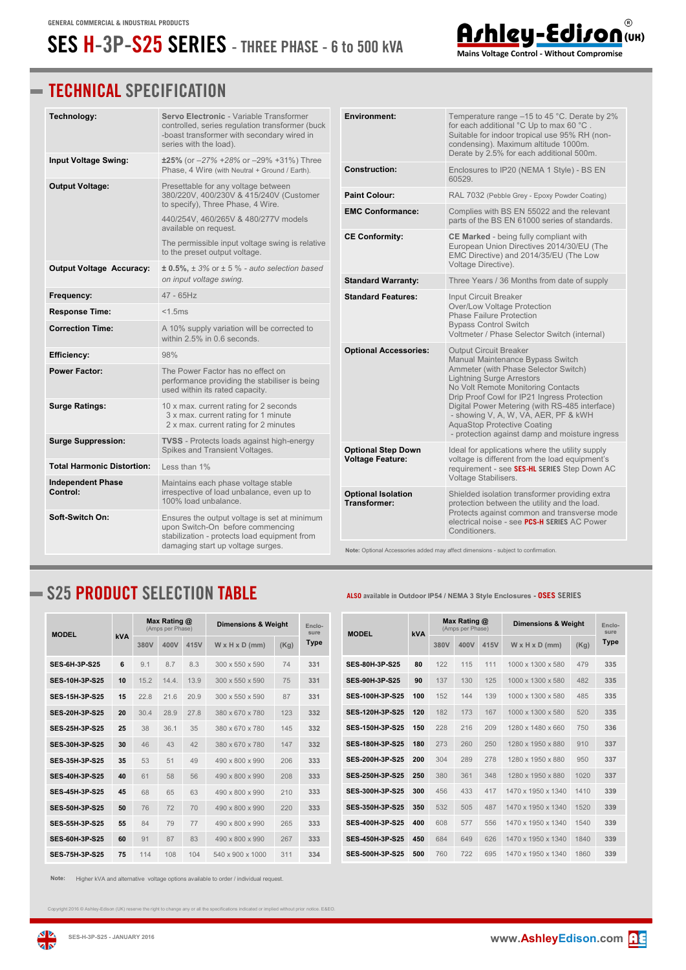## **SES H-3P-S25 SERIES - THREE PHASE - 6 to 500 kVA**



| Technology:                       | Servo Electronic - Variable Transformer<br>controlled, series regulation transformer (buck<br>-boast transformer with secondary wired in<br>series with the load). | <b>Environment:</b>          | Temperature range -15 to 45 °C. Derate by 2%<br>for each additional °C Up to max 60 °C.<br>Suitable for indoor tropical use 95% RH (non-<br>condensing). Maximum altitude 1000m.<br>Derate by 2.5% for each additional 500m.       |  |  |
|-----------------------------------|--------------------------------------------------------------------------------------------------------------------------------------------------------------------|------------------------------|------------------------------------------------------------------------------------------------------------------------------------------------------------------------------------------------------------------------------------|--|--|
| <b>Input Voltage Swing:</b>       | $±25\%$ (or $-27\% +28\%$ or $-29\% +31\%$ ) Three<br>Phase, 4 Wire (with Neutral + Ground / Earth).                                                               | <b>Construction:</b>         | Enclosures to IP20 (NEMA 1 Style) - BS EN<br>60529.                                                                                                                                                                                |  |  |
| <b>Output Voltage:</b>            | Presettable for any voltage between<br>380/220V, 400/230V & 415/240V (Customer                                                                                     | <b>Paint Colour:</b>         | RAL 7032 (Pebble Grey - Epoxy Powder Coating)                                                                                                                                                                                      |  |  |
|                                   | to specify), Three Phase, 4 Wire.                                                                                                                                  | <b>EMC Conformance:</b>      | Complies with BS EN 55022 and the relevant                                                                                                                                                                                         |  |  |
|                                   | 440/254V, 460/265V & 480/277V models<br>available on request.                                                                                                      |                              | parts of the BS EN 61000 series of standards.                                                                                                                                                                                      |  |  |
|                                   | The permissible input voltage swing is relative<br>to the preset output voltage.                                                                                   | <b>CE Conformity:</b>        | <b>CE Marked</b> - being fully compliant with<br>European Union Directives 2014/30/EU (The<br>EMC Directive) and 2014/35/EU (The Low                                                                                               |  |  |
| <b>Output Voltage Accuracy:</b>   | $\pm$ 0.5%, $\pm$ 3% or $\pm$ 5 % - auto selection based                                                                                                           |                              | Voltage Directive).                                                                                                                                                                                                                |  |  |
|                                   | on input voltage swing.                                                                                                                                            | <b>Standard Warranty:</b>    | Three Years / 36 Months from date of supply                                                                                                                                                                                        |  |  |
| Frequency:                        | $47 - 65$ Hz                                                                                                                                                       | <b>Standard Features:</b>    | Input Circuit Breaker<br>Over/Low Voltage Protection                                                                                                                                                                               |  |  |
| <b>Response Time:</b>             | < 1.5ms                                                                                                                                                            |                              | <b>Phase Failure Protection</b>                                                                                                                                                                                                    |  |  |
| <b>Correction Time:</b>           | A 10% supply variation will be corrected to<br>within 2.5% in 0.6 seconds.                                                                                         |                              | <b>Bypass Control Switch</b><br>Voltmeter / Phase Selector Switch (internal)                                                                                                                                                       |  |  |
| <b>Efficiency:</b>                | 98%                                                                                                                                                                | <b>Optional Accessories:</b> | <b>Output Circuit Breaker</b><br>Manual Maintenance Bypass Switch<br>Ammeter (with Phase Selector Switch)<br><b>Lightning Surge Arrestors</b><br>No Volt Remote Monitoring Contacts<br>Drip Proof Cowl for IP21 Ingress Protection |  |  |
| <b>Power Factor:</b>              | The Power Factor has no effect on<br>performance providing the stabiliser is being<br>used within its rated capacity.                                              |                              |                                                                                                                                                                                                                                    |  |  |
| <b>Surge Ratings:</b>             | 10 x max. current rating for 2 seconds<br>3 x max. current rating for 1 minute<br>2 x max. current rating for 2 minutes                                            |                              | Digital Power Metering (with RS-485 interface)<br>- showing V, A, W, VA, AER, PF & kWH<br><b>AquaStop Protective Coating</b>                                                                                                       |  |  |
| <b>Surge Suppression:</b>         | <b>TVSS</b> - Protects loads against high-energy<br>Spikes and Transient Voltages.                                                                                 | <b>Optional Step Down</b>    | - protection against damp and moisture ingress<br>Ideal for applications where the utility supply                                                                                                                                  |  |  |
| <b>Total Harmonic Distortion:</b> | Less than 1%                                                                                                                                                       | <b>Voltage Feature:</b>      | voltage is different from the load equipment's<br>requirement - see SES-HL SERIES Step Down AC                                                                                                                                     |  |  |
| <b>Independent Phase</b>          | Maintains each phase voltage stable                                                                                                                                | <b>Optional Isolation</b>    | Voltage Stabilisers.                                                                                                                                                                                                               |  |  |
| Control:                          | irrespective of load unbalance, even up to<br>100% load unbalance.                                                                                                 |                              | Shielded isolation transformer providing extra<br>protection between the utility and the load.<br>Protects against common and transverse mode                                                                                      |  |  |
| Soft-Switch On:                   | Ensures the output voltage is set at minimum<br>upon Switch-On before commencing<br>stabilization - protects load equipment from                                   |                              | electrical noise - see PCS-H SERIES AC Power<br>Conditioners.                                                                                                                                                                      |  |  |
|                                   | damaging start up voltage surges.                                                                                                                                  |                              | Note: Optional Accessories added may affect dimensions - subject to confirmation.                                                                                                                                                  |  |  |

## **S25 PRODUCT SELECTION TABLE ALSO available in Outdoor IP54 / NEMA 3 Style Enclosures - OSES SERIES**

| <b>MODEL</b>           |     | Max Rating @<br>(Amps per Phase) |       |      | <b>Dimensions &amp; Weight</b> | Enclo-<br>sure |      |
|------------------------|-----|----------------------------------|-------|------|--------------------------------|----------------|------|
|                        | kVA | 380V                             | 400V  | 415V | $W \times H \times D$ (mm)     | (Kg)           | Type |
| <b>SES 6H 3P S25</b>   | 6   | 9.1                              | 8.7   | 8.3  | 300 x 550 x 590                | 74             | 331  |
| <b>SES 10H 3P S25</b>  | 10  | 15.2                             | 14.4. | 13.9 | 300 x 550 x 590                | 75             | 331  |
| <b>SES-15H-3P-S25</b>  | 15  | 22.8                             | 21.6  | 20.9 | 300 x 550 x 590                | 87             | 331  |
| <b>SES 2011 3P S25</b> | 20  | 30.4                             | 28.9  | 27.8 | 380 x 670 x 780                | 123            | 332  |
| <b>SFS-25H-3P-S25</b>  | 25  | 38                               | 36.1  | 35   | 380 x 670 x 780                | 145            | 332  |
| <b>SES 30H 3P S25</b>  | 30  | 46                               | 43    | 42   | 380 x 670 x 780                | 147            | 332  |
| <b>SES 35H 3P S25</b>  | 35  | 53                               | 51    | 49   | 490 x 800 x 990                | 206            | 333  |
| <b>SFS-40H-3P-S25</b>  | 40  | 61                               | 58    | 56   | 490 x 800 x 990                | 208            | 333  |
| <b>SES 45H 3P S25</b>  | 45  | 68                               | 65    | 63   | 490 x 800 x 990                | 210            | 333  |
| <b>SES 50H 3P S25</b>  | 50  | 76                               | 72    | 70   | 490 x 800 x 990                | 220            | 333  |
| <b>SES-55H 3P S25</b>  | 55  | 84                               | 79    | 77   | 490 x 800 x 990                | 265            | 333  |
| <b>SES-60H 3P S25</b>  | 60  | 91                               | 87    | 83   | 490 x 800 x 990                | 267            | 333  |
| <b>SES 75H 3P S25</b>  | 75  | 114                              | 108   | 104  | 540 x 900 x 1000               | 311            | 334  |

**Note:** Higher kVA and alternative voltage options available to order / individual request.

any or all the specifications indicated or implied without prior notice. E&EC





Ashley-Edison Mains Voltage Control - Without Compromise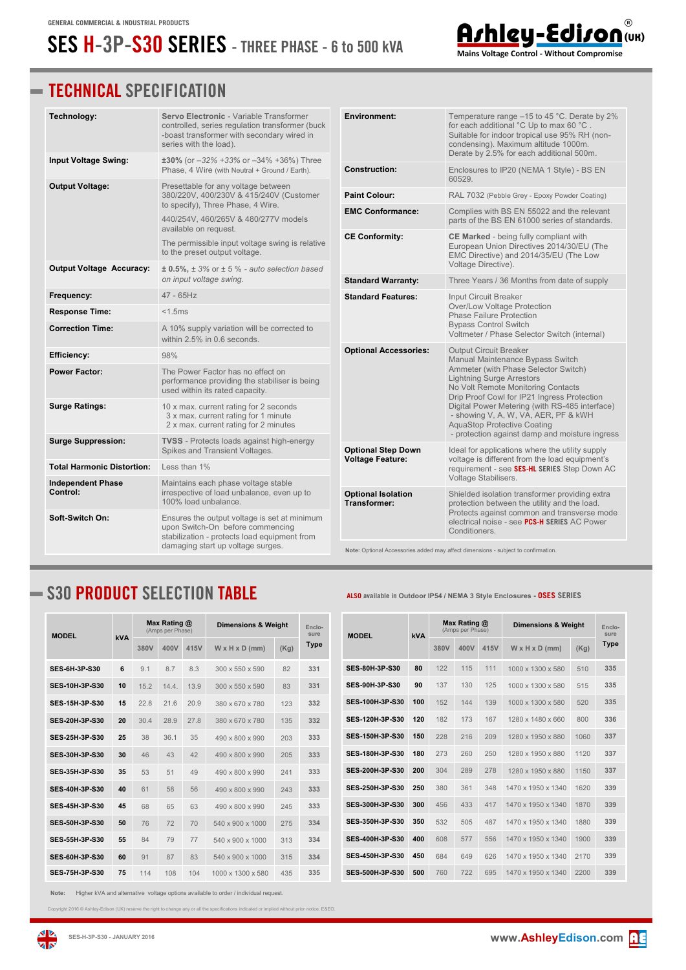## **SES H-3P-S30 SERIES - THREE PHASE - 6 to 500 kVA**



| Technology:                          | Servo Electronic - Variable Transformer<br>controlled, series regulation transformer (buck<br>-boast transformer with secondary wired in<br>series with the load). | <b>Environment:</b>                              | Temperature range -15 to 45 °C. Derate by 2%<br>for each additional °C Up to max 60 °C.<br>Suitable for indoor tropical use 95% RH (non-<br>condensing). Maximum altitude 1000m.<br>Derate by 2.5% for each additional 500m. |  |  |
|--------------------------------------|--------------------------------------------------------------------------------------------------------------------------------------------------------------------|--------------------------------------------------|------------------------------------------------------------------------------------------------------------------------------------------------------------------------------------------------------------------------------|--|--|
| Input Voltage Swing:                 | $±30\%$ (or $-32\% +33\%$ or $-34\% +36\%$ ) Three<br>Phase, 4 Wire (with Neutral + Ground / Earth).                                                               | <b>Construction:</b>                             | Enclosures to IP20 (NEMA 1 Style) - BS EN<br>60529.                                                                                                                                                                          |  |  |
| <b>Output Voltage:</b>               | Presettable for any voltage between<br>380/220V, 400/230V & 415/240V (Customer                                                                                     | <b>Paint Colour:</b>                             | RAL 7032 (Pebble Grey - Epoxy Powder Coating)                                                                                                                                                                                |  |  |
|                                      | to specify), Three Phase, 4 Wire.<br>440/254V, 460/265V & 480/277V models                                                                                          | <b>EMC Conformance:</b>                          | Complies with BS EN 55022 and the relevant<br>parts of the BS EN 61000 series of standards.                                                                                                                                  |  |  |
|                                      | available on request.<br>The permissible input voltage swing is relative<br>to the preset output voltage.                                                          | <b>CE Conformity:</b>                            | <b>CE Marked</b> - being fully compliant with<br>European Union Directives 2014/30/EU (The<br>EMC Directive) and 2014/35/EU (The Low                                                                                         |  |  |
| <b>Output Voltage Accuracy:</b>      | $\pm$ 0.5%, $\pm$ 3% or $\pm$ 5 % - auto selection based<br>on input voltage swing.                                                                                | <b>Standard Warranty:</b>                        | Voltage Directive).<br>Three Years / 36 Months from date of supply                                                                                                                                                           |  |  |
| Frequency:                           | $47 - 65$ Hz                                                                                                                                                       | <b>Standard Features:</b>                        | <b>Input Circuit Breaker</b>                                                                                                                                                                                                 |  |  |
| <b>Response Time:</b>                | $<$ 1.5 $ms$                                                                                                                                                       |                                                  | Over/Low Voltage Protection<br><b>Phase Failure Protection</b>                                                                                                                                                               |  |  |
| <b>Correction Time:</b>              | A 10% supply variation will be corrected to<br>within 2.5% in 0.6 seconds.                                                                                         |                                                  | <b>Bypass Control Switch</b><br>Voltmeter / Phase Selector Switch (internal)                                                                                                                                                 |  |  |
| <b>Efficiency:</b>                   | 98%                                                                                                                                                                | <b>Optional Accessories:</b>                     | <b>Output Circuit Breaker</b><br>Manual Maintenance Bypass Switch                                                                                                                                                            |  |  |
| <b>Power Factor:</b>                 | The Power Factor has no effect on<br>performance providing the stabiliser is being<br>used within its rated capacity.                                              |                                                  | Ammeter (with Phase Selector Switch)<br><b>Lightning Surge Arrestors</b><br>No Volt Remote Monitoring Contacts<br>Drip Proof Cowl for IP21 Ingress Protection                                                                |  |  |
| <b>Surge Ratings:</b>                | 10 x max. current rating for 2 seconds<br>3 x max. current rating for 1 minute<br>2 x max. current rating for 2 minutes                                            |                                                  | Digital Power Metering (with RS-485 interface)<br>- showing V, A, W, VA, AER, PF & kWH<br><b>AquaStop Protective Coating</b>                                                                                                 |  |  |
| <b>Surge Suppression:</b>            | <b>TVSS</b> - Protects loads against high-energy<br>Spikes and Transient Voltages.                                                                                 | <b>Optional Step Down</b>                        | - protection against damp and moisture ingress<br>Ideal for applications where the utility supply                                                                                                                            |  |  |
| <b>Total Harmonic Distortion:</b>    | Less than 1%                                                                                                                                                       | <b>Voltage Feature:</b>                          | voltage is different from the load equipment's<br>requirement - see SES-HL SERIES Step Down AC                                                                                                                               |  |  |
| <b>Independent Phase</b><br>Control: | Maintains each phase voltage stable<br>irrespective of load unbalance, even up to<br>100% load unbalance.                                                          | <b>Optional Isolation</b><br><b>Transformer:</b> | Voltage Stabilisers.<br>Shielded isolation transformer providing extra<br>protection between the utility and the load.                                                                                                       |  |  |
| Soft-Switch On:                      | Ensures the output voltage is set at minimum<br>upon Switch-On before commencing<br>stabilization - protects load equipment from                                   |                                                  | Protects against common and transverse mode<br>electrical noise - see PCS-H SERIES AC Power<br>Conditioners.                                                                                                                 |  |  |
|                                      | damaging start up voltage surges.                                                                                                                                  |                                                  | Note: Optional Accessories added may affect dimensions - subject to confirmation.                                                                                                                                            |  |  |

## **S30 PRODUCT SELECTION TABLE ALSO available in Outdoor IP54 / NEMA 3 Style Enclosures - OSES SERIES**

| <b>MODEL</b>          |     | Max Rating @<br>(Amps per Phase) |       |      | <b>Dimensions &amp; Weight</b> | Enclo-<br>sure |      |
|-----------------------|-----|----------------------------------|-------|------|--------------------------------|----------------|------|
|                       | kVA | 380V                             | 400V  | 415V | $W \times H \times D$ (mm)     | (Kg)           | Type |
| <b>SES-6H-3P-S30</b>  | 6   | 9.1                              | 8.7   | 8.3  | 300 x 550 x 590                | 82             | 331  |
| <b>SES-10H-3P-S30</b> | 10  | 15.2                             | 14.4. | 13.9 | 300 x 550 x 590                | 83             | 331  |
| <b>SES-15H-3P-S30</b> | 15  | 22.8                             | 21.6  | 20.9 | 380 x 670 x 780                | 123            | 332  |
| <b>SES-20H-3P-S30</b> | 20  | 30.4                             | 28.9  | 27.8 | 380 x 670 x 780                | 135            | 332  |
| <b>SES-25H-3P-S30</b> | 25  | 38                               | 361   | 35   | 490 x 800 x 990                | 203            | 333  |
| <b>SES 30H 3P S30</b> | 30  | 46                               | 43    | 42   | 490 x 800 x 990                | 205            | 333  |
| <b>SES 35H 3P S30</b> | 35  | 53                               | 51    | 49   | 490 x 800 x 990                | 241            | 333  |
| <b>SES-40H-3P-S30</b> | 40  | 61                               | 58    | 56   | 490 x 800 x 990                | 243            | 333  |
| <b>SES 45H 3P S30</b> | 45  | 68                               | 65    | 63   | 490 x 800 x 990                | 245            | 333  |
| <b>SES-50H-3P-S30</b> | 50  | 76                               | 72    | 70   | 540 x 900 x 1000               | 275            | 334  |
| <b>SES-55H-3P-S30</b> | 55  | 84                               | 79    | 77   | 540 x 900 x 1000               | 313            | 334  |
| <b>SES-60H-3P-S30</b> | 60  | 91                               | 87    | 83   | 540 x 900 x 1000               | 315            | 334  |
| <b>SES 75H 3P S30</b> | 75  | 114                              | 108   | 104  | 1000 x 1300 x 580              | 435            | 335  |

**Type 380V 400V 415V W x H x D (mm) (Kg) SES-80H-3P-S30 80** 122 115 111 1000 x 1300 x 580 510 **335 SES-90H-3P-S30 90** 137 130 125 1000 x 1300 x 580 515 **335 SES-100H-3P-S30 100** 152 144 139 1000 x 1300 x 580 520 **335 SES-120H-3P-S30 120** 182 173 167 1280 x 1480 x 660 800 **336 SES-150H-3P-S30 150** 228 216 209 1280 x 1950 x 880 1060 **337 SES-180H-3P-S30 180** 273 260 250 1280 x 1950 x 880 1120 **337 SES-200H-3P-S30 200** 304 289 278 1280 x 1950 x 880 1150 **337**

**SES-250H-3P-S30 250** 380 361 348 1470 x 1950 x 1340 1620 **339 SES-300H-3P-S30 300** 456 433 417 1470 x 1950 x 1340 1870 **339 SES-350H-3P-S30 350** 532 505 487 1470 x 1950 x 1340 1880 **339 SES-400H-3P-S30 400** 608 577 556 1470 x 1950 x 1340 1900 **339 SES-450H-3P-S30 450** 684 649 626 1470 x 1950 x 1340 2170 **339 SES-500H-3P-S30 500** 760 722 695 1470 x 1950 x 1340 2200 **339**

**Max Rating @** (Amps per Phase)

**MODEL kVA**

**Note:** Higher kVA and alternative voltage options available to order / individual request.

ght 2016 © Ashley-Edison (UK) reserve the right to change any or all the specifications indicated or implied without prior notice. E&EC



**Dimensions & Weight Enclo-**

Ashley-Edison® Mains Voltage Control - Without Compromise

**sure**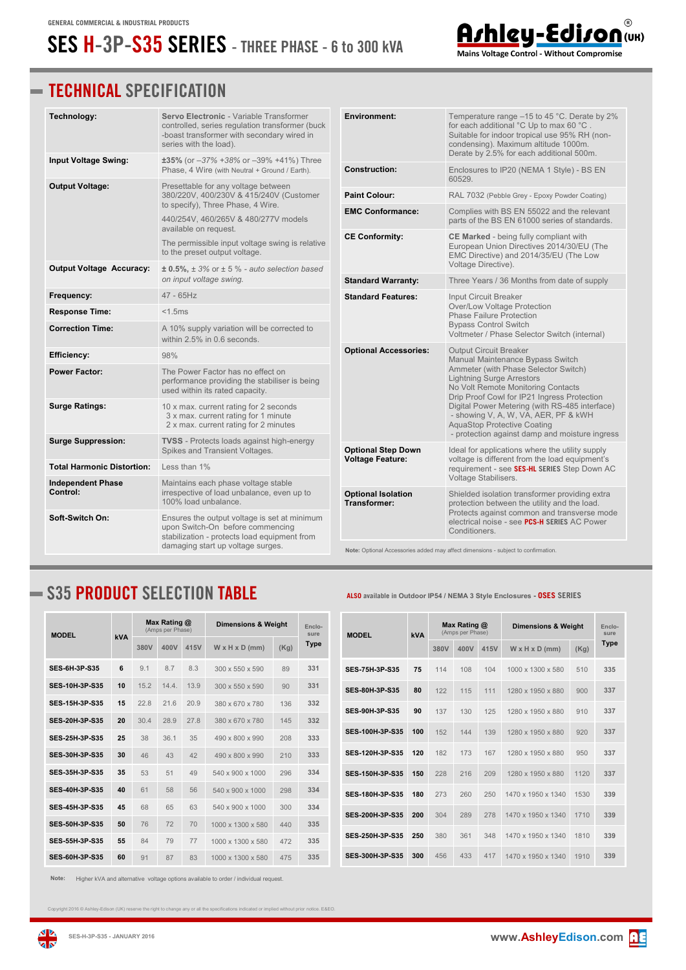## **SES H-3P-S35 SERIES - THREE PHASE - 6 to 300 kVA**



| Technology:                                                                                                                                         | <b>Servo Electronic - Variable Transformer</b><br>controlled, series regulation transformer (buck<br>-boast transformer with secondary wired in<br>series with the load). | <b>Environment:</b>                                                               | Temperature range -15 to 45 °C. Derate by 2%<br>for each additional °C Up to max 60 °C.<br>Suitable for indoor tropical use 95% RH (non-<br>condensing). Maximum altitude 1000m.<br>Derate by 2.5% for each additional 500m.       |  |  |
|-----------------------------------------------------------------------------------------------------------------------------------------------------|---------------------------------------------------------------------------------------------------------------------------------------------------------------------------|-----------------------------------------------------------------------------------|------------------------------------------------------------------------------------------------------------------------------------------------------------------------------------------------------------------------------------|--|--|
| <b>Input Voltage Swing:</b>                                                                                                                         | ±35% (or -37% +38% or -39% +41%) Three<br>Phase, 4 Wire (with Neutral + Ground / Earth).                                                                                  | <b>Construction:</b>                                                              | Enclosures to IP20 (NEMA 1 Style) - BS EN<br>60529.                                                                                                                                                                                |  |  |
| <b>Output Voltage:</b><br>Presettable for any voltage between<br>380/220V, 400/230V & 415/240V (Customer                                            |                                                                                                                                                                           | <b>Paint Colour:</b>                                                              | RAL 7032 (Pebble Grey - Epoxy Powder Coating)                                                                                                                                                                                      |  |  |
|                                                                                                                                                     | to specify), Three Phase, 4 Wire.<br>440/254V, 460/265V & 480/277V models                                                                                                 | <b>EMC Conformance:</b>                                                           | Complies with BS EN 55022 and the relevant<br>parts of the BS EN 61000 series of standards.                                                                                                                                        |  |  |
|                                                                                                                                                     | available on request.<br><b>CE Conformity:</b><br>The permissible input voltage swing is relative<br>to the preset output voltage.                                        |                                                                                   | CE Marked - being fully compliant with<br>European Union Directives 2014/30/EU (The<br>EMC Directive) and 2014/35/EU (The Low                                                                                                      |  |  |
| <b>Output Voltage Accuracy:</b>                                                                                                                     | $\pm$ 0.5%, $\pm$ 3% or $\pm$ 5 % - auto selection based<br>on input voltage swing.                                                                                       |                                                                                   | Voltage Directive).                                                                                                                                                                                                                |  |  |
|                                                                                                                                                     |                                                                                                                                                                           | <b>Standard Warranty:</b>                                                         | Three Years / 36 Months from date of supply                                                                                                                                                                                        |  |  |
| Frequency:                                                                                                                                          | 47 - 65Hz                                                                                                                                                                 | <b>Standard Features:</b>                                                         | Input Circuit Breaker<br>Over/Low Voltage Protection                                                                                                                                                                               |  |  |
| <b>Response Time:</b>                                                                                                                               | $<$ 1.5 $ms$                                                                                                                                                              |                                                                                   | <b>Phase Failure Protection</b>                                                                                                                                                                                                    |  |  |
| <b>Correction Time:</b>                                                                                                                             | A 10% supply variation will be corrected to<br>within 2.5% in 0.6 seconds.                                                                                                |                                                                                   | <b>Bypass Control Switch</b><br>Voltmeter / Phase Selector Switch (internal)                                                                                                                                                       |  |  |
| <b>Efficiency:</b>                                                                                                                                  | 98%                                                                                                                                                                       | <b>Optional Accessories:</b>                                                      | <b>Output Circuit Breaker</b><br>Manual Maintenance Bypass Switch<br>Ammeter (with Phase Selector Switch)<br><b>Lightning Surge Arrestors</b><br>No Volt Remote Monitoring Contacts<br>Drip Proof Cowl for IP21 Ingress Protection |  |  |
| <b>Power Factor:</b>                                                                                                                                | The Power Factor has no effect on<br>performance providing the stabiliser is being<br>used within its rated capacity.                                                     |                                                                                   |                                                                                                                                                                                                                                    |  |  |
| <b>Surge Ratings:</b>                                                                                                                               | 10 x max. current rating for 2 seconds<br>3 x max. current rating for 1 minute<br>2 x max. current rating for 2 minutes                                                   |                                                                                   | Digital Power Metering (with RS-485 interface)<br>- showing V, A, W, VA, AER, PF & kWH<br><b>AquaStop Protective Coating</b>                                                                                                       |  |  |
| <b>Surge Suppression:</b>                                                                                                                           | <b>TVSS</b> - Protects loads against high-energy<br>Spikes and Transient Voltages.                                                                                        | <b>Optional Step Down</b>                                                         | - protection against damp and moisture ingress<br>Ideal for applications where the utility supply<br>voltage is different from the load equipment's                                                                                |  |  |
| <b>Total Harmonic Distortion:</b>                                                                                                                   | Less than 1%                                                                                                                                                              | <b>Voltage Feature:</b>                                                           | requirement - see SES-HL SERIES Step Down AC                                                                                                                                                                                       |  |  |
| <b>Independent Phase</b><br>Control:                                                                                                                | Maintains each phase voltage stable<br>irrespective of load unbalance, even up to<br>100% load unbalance.                                                                 | <b>Optional Isolation</b><br>Transformer:                                         | Voltage Stabilisers.<br>Shielded isolation transformer providing extra<br>protection between the utility and the load.                                                                                                             |  |  |
| Soft-Switch On:<br>Ensures the output voltage is set at minimum<br>upon Switch-On before commencing<br>stabilization - protects load equipment from |                                                                                                                                                                           |                                                                                   | Protects against common and transverse mode<br>electrical noise - see PCS-H SERIES AC Power<br>Conditioners.                                                                                                                       |  |  |
|                                                                                                                                                     | damaging start up voltage surges.                                                                                                                                         | Note: Optional Accessories added may affect dimensions - subject to confirmation. |                                                                                                                                                                                                                                    |  |  |

## **S35 PRODUCT SELECTION TABLE ALSO available in Outdoor IP54 / NEMA 3 Style Enclosures - OSES SERIES**

| <b>MODEL</b>           |     | Max Rating @<br>(Amps per Phase) |       |      | <b>Dimensions &amp; Weight</b> | Enclo-<br>sure |      |
|------------------------|-----|----------------------------------|-------|------|--------------------------------|----------------|------|
|                        | kVA | 380V                             | 400V  | 415V | $W \times H \times D$ (mm)     | (Kg)           | Type |
| <b>SES 6H 3P S35</b>   | 6   | 9.1                              | 8.7   | 8.3  | 300 x 550 x 590                | 89             | 331  |
| <b>SES 10H 3P S35</b>  | 10  | 15.2                             | 14.4. | 13.9 | $300 \times 550 \times 590$    | 90             | 331  |
| <b>SES 15H 3P S35</b>  | 15  | 228                              | 216   | 20.9 | 380 x 670 x 780                | 136            | 332  |
| <b>SES 2011 3P S35</b> | 20  | 30.4                             | 28.9  | 27.8 | 380 x 670 x 780                | 145            | 332  |
| <b>SES 25H 3P S35</b>  | 25  | 38                               | 361   | 35   | 490 x 800 x 990                | 208            | 333  |
| <b>SES 30H 3P S35</b>  | 30  | 46                               | 43    | 42   | 490 x 800 x 990                | 210            | 333  |
| <b>SES 35H 3P S35</b>  | 35  | 53                               | 51    | 49   | 540 x 900 x 1000               | 296            | 334  |
| <b>SES-40H-3P-S35</b>  | 40  | 61                               | 58    | 56   | 540 x 900 x 1000               | 298            | 334  |
| <b>SES 45H-3P-S35</b>  | 45  | 68                               | 65    | 63   | 540 x 900 x 1000               | 300            | 334  |
| <b>SES 50H 3P S35</b>  | 50  | 76                               | 72    | 70   | 1000 x 1300 x 580              | 440            | 335  |
| <b>SES 55H 3P S35</b>  | 55  | 84                               | 79    | 77   | 1000 x 1300 x 580              | 472            | 335  |
| <b>SES-60H-3P-S35</b>  | 60  | 91                               | 87    | 83   | 1000 x 1300 x 580              | 475            | 335  |

**Note:** Higher kVA and alternative voltage options available to order / individual request.

Copyright 2016 © Ashley-Edison (UK) reserve the right to change any or all the specifications indicated or implied without prior notice. E&EO.







Mains Voltage Control - Without Compromise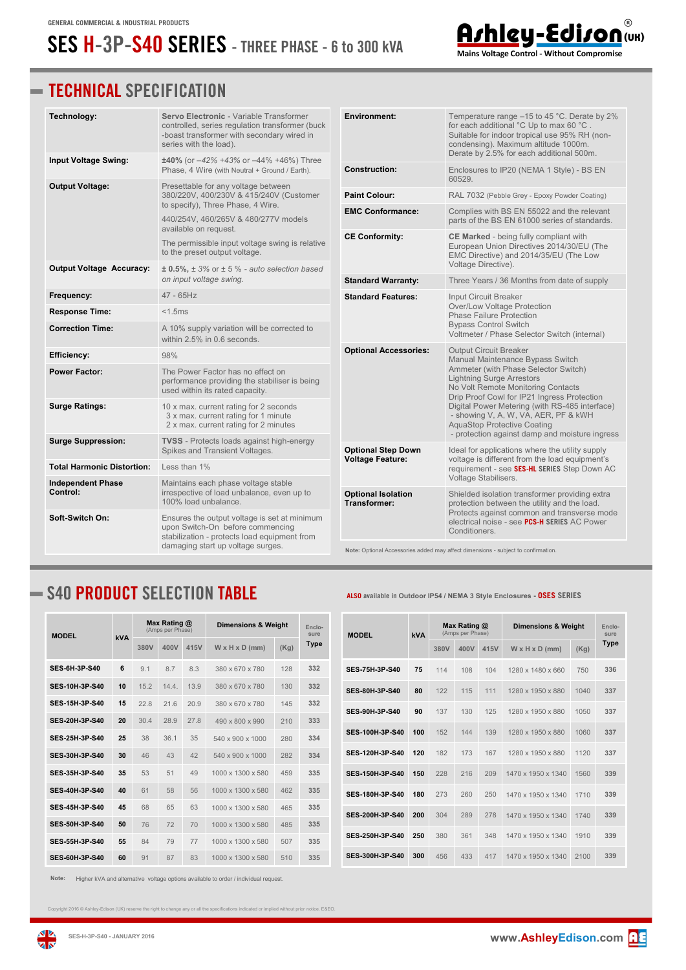## **SES H-3P-S40 SERIES - THREE PHASE - 6 to 300 kVA**



## **TECHNICAL SPECIFICATION**

| Technology:                          | <b>Servo Electronic - Variable Transformer</b><br>controlled, series regulation transformer (buck<br>-boast transformer with secondary wired in<br>series with the load). | <b>Environment:</b>                                                               | Temperature range $-15$ to 45 °C. Derate by 2%<br>for each additional °C Up to max 60 °C.<br>Suitable for indoor tropical use 95% RH (non-<br>condensing). Maximum altitude 1000m.<br>Derate by 2.5% for each additional 500m.                                                                |  |  |
|--------------------------------------|---------------------------------------------------------------------------------------------------------------------------------------------------------------------------|-----------------------------------------------------------------------------------|-----------------------------------------------------------------------------------------------------------------------------------------------------------------------------------------------------------------------------------------------------------------------------------------------|--|--|
| Input Voltage Swing:                 | $±40\%$ (or $-42\% +43\%$ or $-44\% +46\%$ ) Three<br>Phase, 4 Wire (with Neutral + Ground / Earth).                                                                      | <b>Construction:</b>                                                              | Enclosures to IP20 (NEMA 1 Style) - BS EN<br>60529.                                                                                                                                                                                                                                           |  |  |
| <b>Output Voltage:</b>               | Presettable for any voltage between<br>380/220V, 400/230V & 415/240V (Customer                                                                                            | Paint Colour:                                                                     | RAL 7032 (Pebble Grey - Epoxy Powder Coating)                                                                                                                                                                                                                                                 |  |  |
|                                      | to specify), Three Phase, 4 Wire.                                                                                                                                         | <b>EMC Conformance:</b>                                                           | Complies with BS EN 55022 and the relevant<br>parts of the BS EN 61000 series of standards.                                                                                                                                                                                                   |  |  |
|                                      | 440/254V, 460/265V & 480/277V models<br>available on request.                                                                                                             |                                                                                   |                                                                                                                                                                                                                                                                                               |  |  |
|                                      | The permissible input voltage swing is relative<br>to the preset output voltage.                                                                                          | <b>CE Conformity:</b>                                                             | <b>CE Marked</b> - being fully compliant with<br>European Union Directives 2014/30/EU (The<br>EMC Directive) and 2014/35/EU (The Low<br>Voltage Directive).                                                                                                                                   |  |  |
| <b>Output Voltage Accuracy:</b>      | $\pm$ 0.5%, $\pm$ 3% or $\pm$ 5 % - auto selection based<br>on input voltage swing.                                                                                       |                                                                                   |                                                                                                                                                                                                                                                                                               |  |  |
| Frequency:                           | $47 - 65$ Hz                                                                                                                                                              | <b>Standard Warranty:</b>                                                         | Three Years / 36 Months from date of supply                                                                                                                                                                                                                                                   |  |  |
| <b>Response Time:</b>                | <b>Standard Features:</b><br>< 1.5ms                                                                                                                                      |                                                                                   | Input Circuit Breaker<br>Over/Low Voltage Protection                                                                                                                                                                                                                                          |  |  |
| <b>Correction Time:</b>              | A 10% supply variation will be corrected to                                                                                                                               |                                                                                   | <b>Phase Failure Protection</b><br><b>Bypass Control Switch</b><br>Voltmeter / Phase Selector Switch (internal)                                                                                                                                                                               |  |  |
|                                      | within 2.5% in 0.6 seconds.                                                                                                                                               |                                                                                   |                                                                                                                                                                                                                                                                                               |  |  |
| <b>Efficiency:</b>                   | 98%                                                                                                                                                                       | <b>Optional Accessories:</b>                                                      | <b>Output Circuit Breaker</b><br>Manual Maintenance Bypass Switch                                                                                                                                                                                                                             |  |  |
| <b>Power Factor:</b>                 | The Power Factor has no effect on<br>performance providing the stabiliser is being<br>used within its rated capacity.                                                     |                                                                                   | Ammeter (with Phase Selector Switch)<br><b>Lightning Surge Arrestors</b><br>No Volt Remote Monitoring Contacts<br>Drip Proof Cowl for IP21 Ingress Protection<br>Digital Power Metering (with RS-485 interface)<br>- showing V, A, W, VA, AER, PF & kWH<br><b>AquaStop Protective Coating</b> |  |  |
| <b>Surge Ratings:</b>                | 10 x max. current rating for 2 seconds<br>3 x max. current rating for 1 minute<br>2 x max. current rating for 2 minutes                                                   |                                                                                   |                                                                                                                                                                                                                                                                                               |  |  |
| <b>Surge Suppression:</b>            | <b>TVSS</b> - Protects loads against high-energy<br>Spikes and Transient Voltages.                                                                                        | <b>Optional Step Down</b>                                                         | - protection against damp and moisture ingress<br>Ideal for applications where the utility supply<br>voltage is different from the load equipment's<br>requirement - see SES-HL SERIES Step Down AC                                                                                           |  |  |
| <b>Total Harmonic Distortion:</b>    | Less than 1%                                                                                                                                                              | <b>Voltage Feature:</b>                                                           |                                                                                                                                                                                                                                                                                               |  |  |
| <b>Independent Phase</b><br>Control: | Maintains each phase voltage stable                                                                                                                                       |                                                                                   | Voltage Stabilisers.                                                                                                                                                                                                                                                                          |  |  |
|                                      | irrespective of load unbalance, even up to<br>100% load unbalance.                                                                                                        | <b>Optional Isolation</b><br><b>Transformer:</b>                                  | Shielded isolation transformer providing extra<br>protection between the utility and the load.                                                                                                                                                                                                |  |  |
| Soft-Switch On:                      | Ensures the output voltage is set at minimum<br>upon Switch-On before commencing<br>stabilization - protects load equipment from                                          |                                                                                   | Protects against common and transverse mode<br>electrical noise - see PCS-H SERIES AC Power<br>Conditioners.                                                                                                                                                                                  |  |  |
|                                      | damaging start up voltage surges.                                                                                                                                         | Note: Optional Accessories added may affect dimensions - subject to confirmation. |                                                                                                                                                                                                                                                                                               |  |  |

## **S40 PRODUCT SELECTION TABLE ALSO available in Outdoor IP54 / NEMA 3 Style Enclosures - OSES SERIES**

| <b>MODEL</b>          | kVA | Max Rating @<br>(Amps per Phase) |       |      | <b>Dimensions &amp; Weight</b> |      | Enclo-<br>sure |
|-----------------------|-----|----------------------------------|-------|------|--------------------------------|------|----------------|
|                       |     | 380V                             | 400V  | 415V | $W \times H \times D$ (mm)     | (Kq) | <b>Type</b>    |
| <b>SES-6H-3P-S40</b>  | 6   | 9.1                              | 8.7   | 8.3  | 380 x 670 x 780                | 128  | 332            |
| <b>SES-10H-3P-S40</b> | 10  | 15.2                             | 14.4. | 13.9 | 380 x 670 x 780                | 130  | 332            |
| <b>SES 15H 3P S40</b> | 15  | 22.8                             | 21.6  | 20.9 | 380 x 670 x 780                | 145  | 332            |
| SES-20H-3P-S40        | 20  | 304                              | 28.9  | 27 8 | 490 x 800 x 990                | 210  | 333            |
| <b>SES 25H 3P S40</b> | 25  | 38                               | 361   | 35   | 540 x 900 x 1000               | 280  | 334            |
| <b>SES 30H 3P S40</b> | 30  | 46                               | 43    | 42   | $540 \times 900 \times 1000$   | 282  | 334            |
| <b>SES-35H-3P-S40</b> | 35  | 53                               | 51    | 49   | 1000 x 1300 x 580              | 459  | 335            |
| <b>SES-40H-3P-S40</b> | 40  | 61                               | 58    | 56   | 1000 x 1300 x 580              | 462  | 335            |
| <b>SES 45H 3P S40</b> | 45  | 68                               | 65    | 63   | 1000 x 1300 x 580              | 465  | 335            |
| <b>SES 50H 3P S40</b> | 50  | 76                               | 72    | 70   | 1000 x 1300 x 580              | 485  | 335            |
| <b>SES 55H 3P S40</b> | 55  | 84                               | 79    | 77   | 1000 x 1300 x 580              | 507  | 335            |
| <b>SES-60H-3P-S40</b> | 60  | 91                               | 87    | 83   | 1000 x 1300 x 580              | 510  | 335            |

**Note:** Higher kVA and alternative voltage options available to order / individual request.

Copyright 2016 © Ashley-Edison (UK) reserve the right to change any or all the specifications indicated or implied without prior notice. E&EO.



**zis**